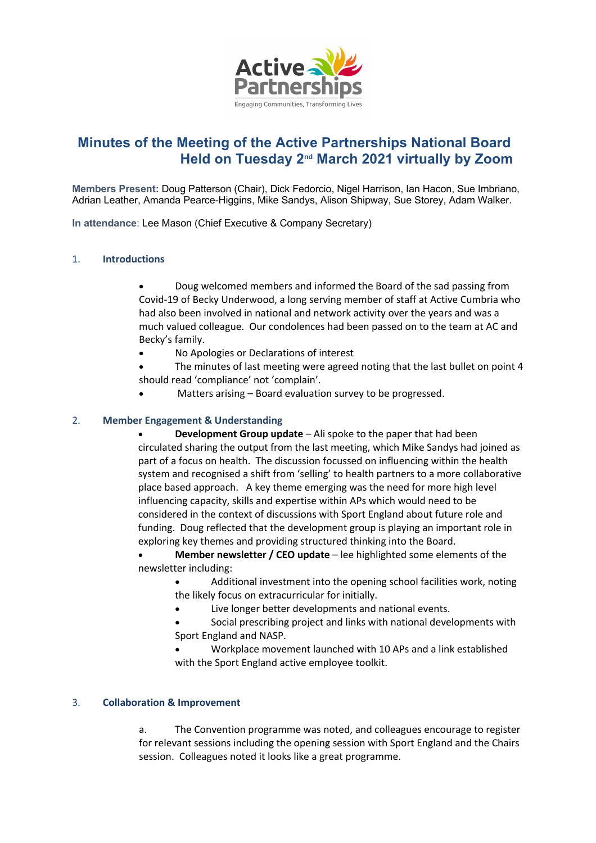

# **Minutes of the Meeting of the Active Partnerships National Board Held on Tuesday 2nd March 2021 virtually by Zoom**

**Members Present:** Doug Patterson (Chair), Dick Fedorcio, Nigel Harrison, Ian Hacon, Sue Imbriano, Adrian Leather, Amanda Pearce-Higgins, Mike Sandys, Alison Shipway, Sue Storey, Adam Walker.

**In attendance**: Lee Mason (Chief Executive & Company Secretary)

## 1. **Introductions**

• Doug welcomed members and informed the Board of the sad passing from Covid-19 of Becky Underwood, a long serving member of staff at Active Cumbria who had also been involved in national and network activity over the years and was a much valued colleague. Our condolences had been passed on to the team at AC and Becky's family.

• No Apologies or Declarations of interest

• The minutes of last meeting were agreed noting that the last bullet on point 4 should read 'compliance' not 'complain'.

Matters arising – Board evaluation survey to be progressed.

## 2. **Member Engagement & Understanding**

• **Development Group update** – Ali spoke to the paper that had been circulated sharing the output from the last meeting, which Mike Sandys had joined as part of a focus on health. The discussion focussed on influencing within the health system and recognised a shift from 'selling' to health partners to a more collaborative place based approach. A key theme emerging was the need for more high level influencing capacity, skills and expertise within APs which would need to be considered in the context of discussions with Sport England about future role and funding. Doug reflected that the development group is playing an important role in exploring key themes and providing structured thinking into the Board.

• **Member newsletter / CEO update** – lee highlighted some elements of the newsletter including:

• Additional investment into the opening school facilities work, noting the likely focus on extracurricular for initially.

- Live longer better developments and national events.
- Social prescribing project and links with national developments with Sport England and NASP.

• Workplace movement launched with 10 APs and a link established with the Sport England active employee toolkit.

#### 3. **Collaboration & Improvement**

a. The Convention programme was noted, and colleagues encourage to register for relevant sessions including the opening session with Sport England and the Chairs session. Colleagues noted it looks like a great programme.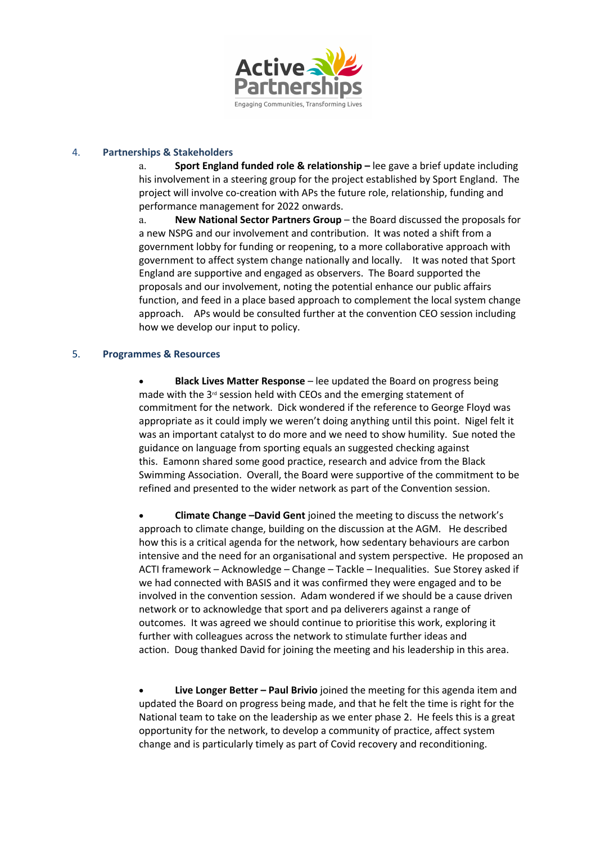

#### 4. **Partnerships & Stakeholders**

a. **Sport England funded role & relationship –** lee gave a brief update including his involvement in a steering group for the project established by Sport England. The project will involve co-creation with APs the future role, relationship, funding and performance management for 2022 onwards.

a. **New National Sector Partners Group** – the Board discussed the proposals for a new NSPG and our involvement and contribution. It was noted a shift from a government lobby for funding or reopening, to a more collaborative approach with government to affect system change nationally and locally. It was noted that Sport England are supportive and engaged as observers. The Board supported the proposals and our involvement, noting the potential enhance our public affairs function, and feed in a place based approach to complement the local system change approach. APs would be consulted further at the convention CEO session including how we develop our input to policy.

## 5. **Programmes & Resources**

• **Black Lives Matter Response** – lee updated the Board on progress being made with the 3<sup>rd</sup> session held with CEOs and the emerging statement of commitment for the network. Dick wondered if the reference to George Floyd was appropriate as it could imply we weren't doing anything until this point. Nigel felt it was an important catalyst to do more and we need to show humility. Sue noted the guidance on language from sporting equals an suggested checking against this. Eamonn shared some good practice, research and advice from the Black Swimming Association. Overall, the Board were supportive of the commitment to be refined and presented to the wider network as part of the Convention session.

• **Climate Change –David Gent** joined the meeting to discuss the network's approach to climate change, building on the discussion at the AGM. He described how this is a critical agenda for the network, how sedentary behaviours are carbon intensive and the need for an organisational and system perspective. He proposed an ACTI framework – Acknowledge – Change – Tackle – Inequalities. Sue Storey asked if we had connected with BASIS and it was confirmed they were engaged and to be involved in the convention session. Adam wondered if we should be a cause driven network or to acknowledge that sport and pa deliverers against a range of outcomes. It was agreed we should continue to prioritise this work, exploring it further with colleagues across the network to stimulate further ideas and action. Doug thanked David for joining the meeting and his leadership in this area.

• **Live Longer Better – Paul Brivio** joined the meeting for this agenda item and updated the Board on progress being made, and that he felt the time is right for the National team to take on the leadership as we enter phase 2. He feels this is a great opportunity for the network, to develop a community of practice, affect system change and is particularly timely as part of Covid recovery and reconditioning.